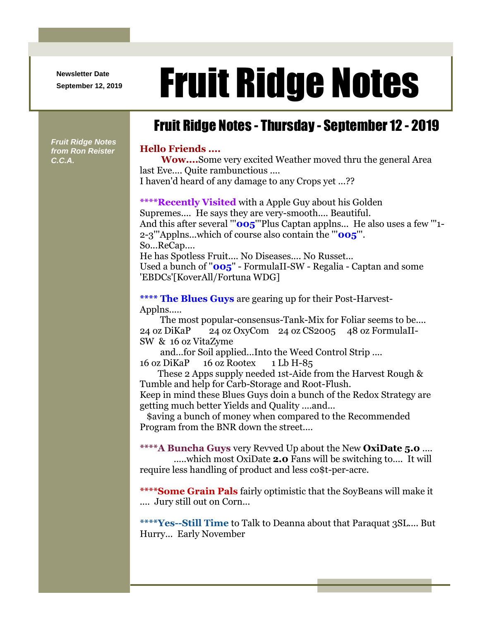**Newsletter Date**

## Newsletter Date **Fruit Ridge Notes**

## Fruit Ridge Notes - Thursday - September 12 - 2019

## **Hello Friends ....**

**Wow....**Some very excited Weather moved thru the general Area last Eve.... Quite rambunctious .... I haven'd heard of any damage to any Crops yet ...??

**\*\*\*\*Recently Visited** with a Apple Guy about his Golden Supremes.... He says they are very-smooth.... Beautiful. And this after several "'**005**"'Plus Captan applns... He also uses a few "'1-2-3'''Applns...which of course also contain the '''**005**'''. So...ReCap.... He has Spotless Fruit.... No Diseases.... No Russet... Used a bunch of ''**005**'' - FormulaII-SW - Regalia - Captan and some 'EBDCs'[KoverAll/Fortuna WDG]

**\*\*\*\* The Blues Guys** are gearing up for their Post-Harvest-Applns.....

The most popular-consensus-Tank-Mix for Foliar seems to be.... 24 oz DiKaP 24 oz OxyCom 24 oz CS2005 48 oz FormulaII-SW & 16 oz VitaZyme

and...for Soil applied...Into the Weed Control Strip .... 16 oz DiKaP 16 oz Rootex 1 Lb H-85

These 2 Apps supply needed 1st-Aide from the Harvest Rough & Tumble and help for Carb-Storage and Root-Flush.

Keep in mind these Blues Guys doin a bunch of the Redox Strategy are getting much better Yields and Quality ....and...

\$aving a bunch of money when compared to the Recommended Program from the BNR down the street....

**\*\*\*\*A Buncha Guys** very Revved Up about the New **OxiDate 5.0** .... .....which most OxiDate **2.0** Fans will be switching to.... It will require less handling of product and less co\$t-per-acre.

**\*\*\*\*Some Grain Pals** fairly optimistic that the SoyBeans will make it

.... Jury still out on Corn...

**\*\*\*\*Yes--Still Time** to Talk to Deanna about that Paraquat 3SL.... But Hurry... Early November

*Fruit Ridge Notes from Ron Reister C.C.A.*